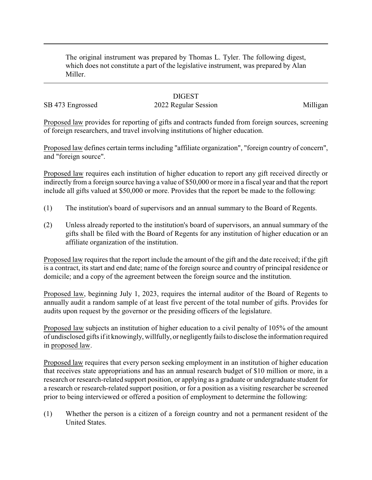The original instrument was prepared by Thomas L. Tyler. The following digest, which does not constitute a part of the legislative instrument, was prepared by Alan Miller.

## **DIGEST**

SB 473 Engrossed 2022 Regular Session Milligan

Proposed law provides for reporting of gifts and contracts funded from foreign sources, screening of foreign researchers, and travel involving institutions of higher education.

Proposed law defines certain terms including "affiliate organization", "foreign country of concern", and "foreign source".

Proposed law requires each institution of higher education to report any gift received directly or indirectly from a foreign source having a value of \$50,000 or more in a fiscal year and that the report include all gifts valued at \$50,000 or more. Provides that the report be made to the following:

- (1) The institution's board of supervisors and an annual summary to the Board of Regents.
- (2) Unless already reported to the institution's board of supervisors, an annual summary of the gifts shall be filed with the Board of Regents for any institution of higher education or an affiliate organization of the institution.

Proposed law requires that the report include the amount of the gift and the date received; if the gift is a contract, its start and end date; name of the foreign source and country of principal residence or domicile; and a copy of the agreement between the foreign source and the institution.

Proposed law, beginning July 1, 2023, requires the internal auditor of the Board of Regents to annually audit a random sample of at least five percent of the total number of gifts. Provides for audits upon request by the governor or the presiding officers of the legislature.

Proposed law subjects an institution of higher education to a civil penalty of 105% of the amount of undisclosed gifts if it knowingly, willfully, or negligentlyfailsto disclose the information required in proposed law.

Proposed law requires that every person seeking employment in an institution of higher education that receives state appropriations and has an annual research budget of \$10 million or more, in a research or research-related support position, or applying as a graduate or undergraduate student for a research or research-related support position, or for a position as a visiting researcher be screened prior to being interviewed or offered a position of employment to determine the following:

(1) Whether the person is a citizen of a foreign country and not a permanent resident of the United States.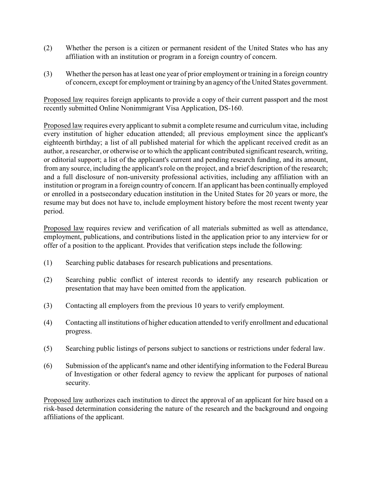- (2) Whether the person is a citizen or permanent resident of the United States who has any affiliation with an institution or program in a foreign country of concern.
- (3) Whether the person has at least one year of prior employment or training in a foreign country of concern, except for employment or training by an agencyof the United States government.

Proposed law requires foreign applicants to provide a copy of their current passport and the most recently submitted Online Nonimmigrant Visa Application, DS-160.

Proposed law requires every applicant to submit a complete resume and curriculum vitae, including every institution of higher education attended; all previous employment since the applicant's eighteenth birthday; a list of all published material for which the applicant received credit as an author, a researcher, or otherwise or to which the applicant contributed significant research, writing, or editorial support; a list of the applicant's current and pending research funding, and its amount, from any source, including the applicant's role on the project, and a brief description of the research; and a full disclosure of non-university professional activities, including any affiliation with an institution or program in a foreign country of concern. If an applicant has been continually employed or enrolled in a postsecondary education institution in the United States for 20 years or more, the resume may but does not have to, include employment history before the most recent twenty year period.

Proposed law requires review and verification of all materials submitted as well as attendance, employment, publications, and contributions listed in the application prior to any interview for or offer of a position to the applicant. Provides that verification steps include the following:

- (1) Searching public databases for research publications and presentations.
- (2) Searching public conflict of interest records to identify any research publication or presentation that may have been omitted from the application.
- (3) Contacting all employers from the previous 10 years to verify employment.
- (4) Contacting all institutions of higher education attended to verify enrollment and educational progress.
- (5) Searching public listings of persons subject to sanctions or restrictions under federal law.
- (6) Submission of the applicant's name and other identifying information to the Federal Bureau of Investigation or other federal agency to review the applicant for purposes of national security.

Proposed law authorizes each institution to direct the approval of an applicant for hire based on a risk-based determination considering the nature of the research and the background and ongoing affiliations of the applicant.